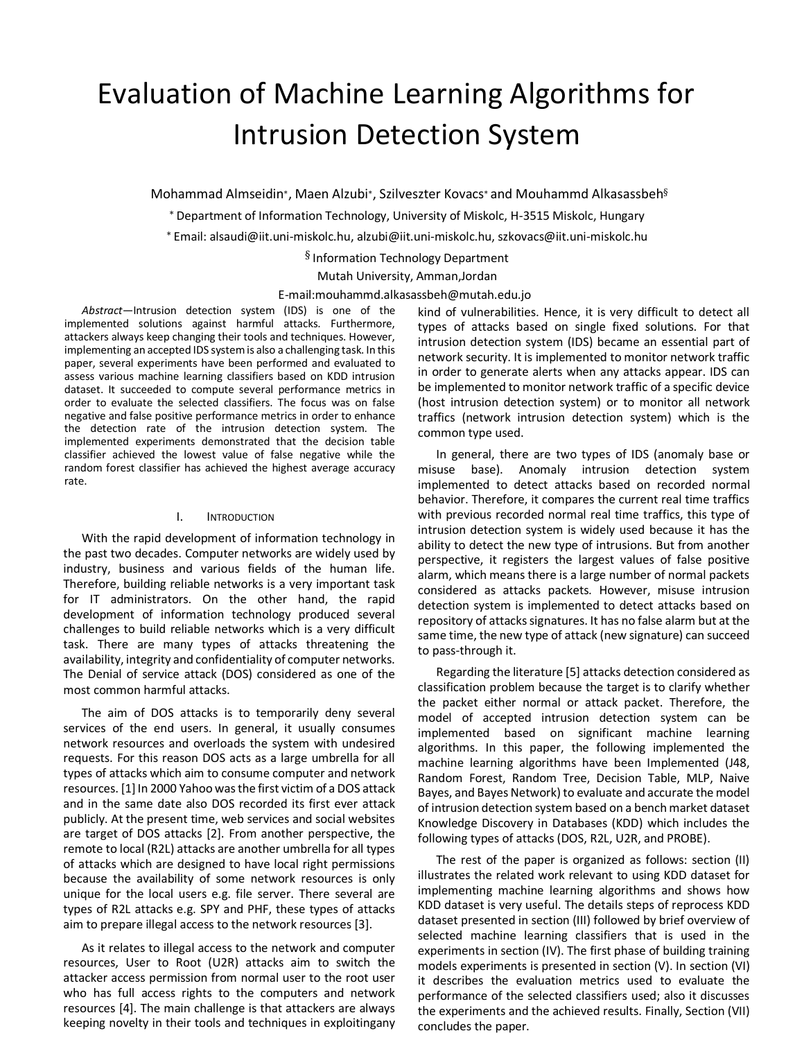# Evaluation of Machine Learning Algorithms for Intrusion Detection System

Mohammad Almseidin∗, Maen Alzubi∗, Szilveszter Kovacs<sup>∗</sup> and Mouhammd Alkasassbeh§

<sup>∗</sup> Department of Information Technology, University of Miskolc, H-3515 Miskolc, Hungary

<sup>∗</sup> Email: alsaudi@iit.uni-miskolc.hu, alzubi@iit.uni-miskolc.hu, szkovacs@iit.uni-miskolc.hu

§ Information Technology Department

Mutah University, Amman,Jordan

E-mail:mouhammd.alkasassbeh@mutah.edu.jo

*Abstract*—Intrusion detection system (IDS) is one of the implemented solutions against harmful attacks. Furthermore, attackers always keep changing their tools and techniques. However, implementing an accepted IDS system is also a challenging task. In this paper, several experiments have been performed and evaluated to assess various machine learning classifiers based on KDD intrusion dataset. It succeeded to compute several performance metrics in order to evaluate the selected classifiers. The focus was on false negative and false positive performance metrics in order to enhance the detection rate of the intrusion detection system. The implemented experiments demonstrated that the decision table classifier achieved the lowest value of false negative while the random forest classifier has achieved the highest average accuracy rate.

### I. INTRODUCTION

With the rapid development of information technology in the past two decades. Computer networks are widely used by industry, business and various fields of the human life. Therefore, building reliable networks is a very important task for IT administrators. On the other hand, the rapid development of information technology produced several challenges to build reliable networks which is a very difficult task. There are many types of attacks threatening the availability, integrity and confidentiality of computer networks. The Denial of service attack (DOS) considered as one of the most common harmful attacks.

The aim of DOS attacks is to temporarily deny several services of the end users. In general, it usually consumes network resources and overloads the system with undesired requests. For this reason DOS acts as a large umbrella for all types of attacks which aim to consume computer and network resources. [1] In 2000 Yahoo was the first victim of a DOS attack and in the same date also DOS recorded its first ever attack publicly. At the present time, web services and social websites are target of DOS attacks [2]. From another perspective, the remote to local (R2L) attacks are another umbrella for all types of attacks which are designed to have local right permissions because the availability of some network resources is only unique for the local users e.g. file server. There several are types of R2L attacks e.g. SPY and PHF, these types of attacks aim to prepare illegal access to the network resources [3].

As it relates to illegal access to the network and computer resources, User to Root (U2R) attacks aim to switch the attacker access permission from normal user to the root user who has full access rights to the computers and network resources [4]. The main challenge is that attackers are always keeping novelty in their tools and techniques in exploitingany kind of vulnerabilities. Hence, it is very difficult to detect all types of attacks based on single fixed solutions. For that intrusion detection system (IDS) became an essential part of network security. It is implemented to monitor network traffic in order to generate alerts when any attacks appear. IDS can be implemented to monitor network traffic of a specific device (host intrusion detection system) or to monitor all network traffics (network intrusion detection system) which is the common type used.

In general, there are two types of IDS (anomaly base or misuse base). Anomaly intrusion detection system implemented to detect attacks based on recorded normal behavior. Therefore, it compares the current real time traffics with previous recorded normal real time traffics, this type of intrusion detection system is widely used because it has the ability to detect the new type of intrusions. But from another perspective, it registers the largest values of false positive alarm, which means there is a large number of normal packets considered as attacks packets. However, misuse intrusion detection system is implemented to detect attacks based on repository of attacks signatures. It has no false alarm but at the same time, the new type of attack (new signature) can succeed to pass-through it.

Regarding the literature [5] attacks detection considered as classification problem because the target is to clarify whether the packet either normal or attack packet. Therefore, the model of accepted intrusion detection system can be implemented based on significant machine learning algorithms. In this paper, the following implemented the machine learning algorithms have been Implemented (J48, Random Forest, Random Tree, Decision Table, MLP, Naive Bayes, and Bayes Network) to evaluate and accurate the model of intrusion detection system based on a bench market dataset Knowledge Discovery in Databases (KDD) which includes the following types of attacks (DOS, R2L, U2R, and PROBE).

The rest of the paper is organized as follows: section (II) illustrates the related work relevant to using KDD dataset for implementing machine learning algorithms and shows how KDD dataset is very useful. The details steps of reprocess KDD dataset presented in section (III) followed by brief overview of selected machine learning classifiers that is used in the experiments in section (IV). The first phase of building training models experiments is presented in section (V). In section (VI) it describes the evaluation metrics used to evaluate the performance of the selected classifiers used; also it discusses the experiments and the achieved results. Finally, Section (VII) concludes the paper.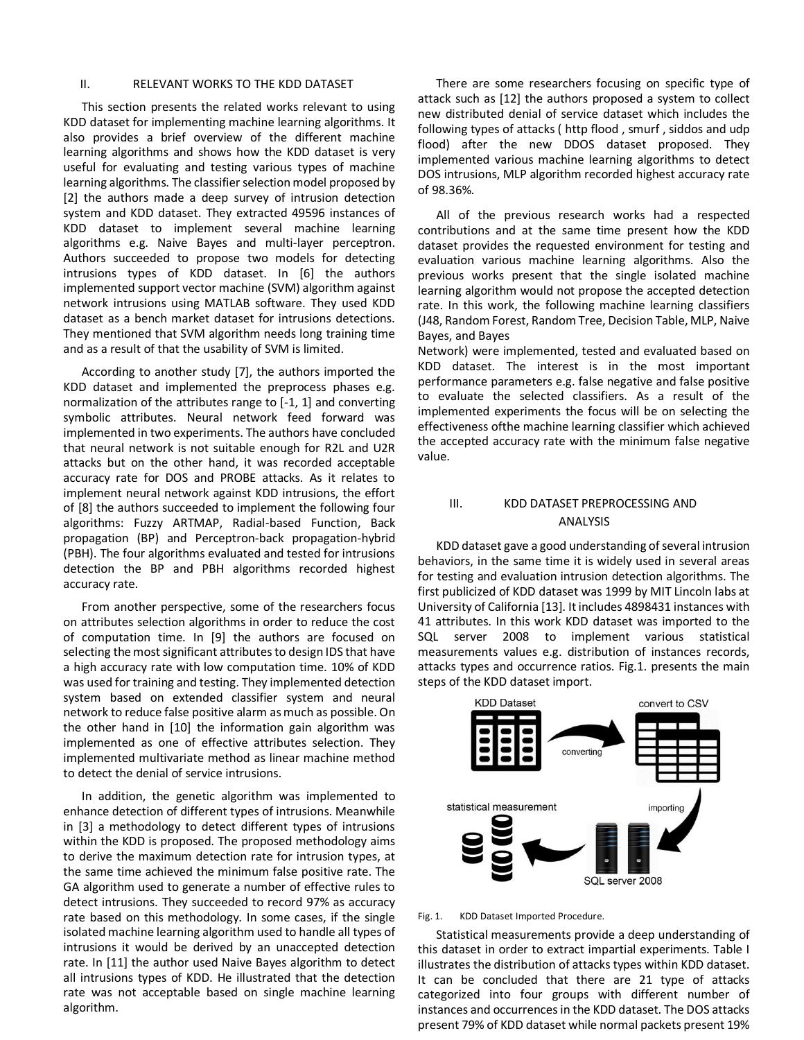# II. RELEVANT WORKS TO THE KDD DATASET

This section presents the related works relevant to using KDD dataset for implementing machine learning algorithms. It also provides a brief overview of the different machine learning algorithms and shows how the KDD dataset is very useful for evaluating and testing various types of machine learning algorithms. The classifier selection model proposed by [2] the authors made a deep survey of intrusion detection system and KDD dataset. They extracted 49596 instances of KDD dataset to implement several machine learning algorithms e.g. Naive Bayes and multi-layer perceptron. Authors succeeded to propose two models for detecting intrusions types of KDD dataset. In [6] the authors implemented support vector machine (SVM) algorithm against network intrusions using MATLAB software. They used KDD dataset as a bench market dataset for intrusions detections. They mentioned that SVM algorithm needs long training time and as a result of that the usability of SVM is limited.

According to another study [7], the authors imported the KDD dataset and implemented the preprocess phases e.g. normalization of the attributes range to [-1, 1] and converting symbolic attributes. Neural network feed forward was implemented in two experiments. The authors have concluded that neural network is not suitable enough for R2L and U2R attacks but on the other hand, it was recorded acceptable accuracy rate for DOS and PROBE attacks. As it relates to implement neural network against KDD intrusions, the effort of [8] the authors succeeded to implement the following four algorithms: Fuzzy ARTMAP, Radial-based Function, Back propagation (BP) and Perceptron-back propagation-hybrid (PBH). The four algorithms evaluated and tested for intrusions detection the BP and PBH algorithms recorded highest accuracy rate.

From another perspective, some of the researchers focus on attributes selection algorithms in order to reduce the cost of computation time. In [9] the authors are focused on selecting the most significant attributes to design IDS that have a high accuracy rate with low computation time. 10% of KDD was used for training and testing. They implemented detection system based on extended classifier system and neural network to reduce false positive alarm as much as possible. On the other hand in [10] the information gain algorithm was implemented as one of effective attributes selection. They implemented multivariate method as linear machine method to detect the denial of service intrusions.

In addition, the genetic algorithm was implemented to enhance detection of different types of intrusions. Meanwhile in [3] a methodology to detect different types of intrusions within the KDD is proposed. The proposed methodology aims to derive the maximum detection rate for intrusion types, at the same time achieved the minimum false positive rate. The GA algorithm used to generate a number of effective rules to detect intrusions. They succeeded to record 97% as accuracy rate based on this methodology. In some cases, if the single isolated machine learning algorithm used to handle all types of intrusions it would be derived by an unaccepted detection rate. In [11] the author used Naive Bayes algorithm to detect all intrusions types of KDD. He illustrated that the detection rate was not acceptable based on single machine learning algorithm.

There are some researchers focusing on specific type of attack such as [12] the authors proposed a system to collect new distributed denial of service dataset which includes the following types of attacks ( http flood , smurf , siddos and udp flood) after the new DDOS dataset proposed. They implemented various machine learning algorithms to detect DOS intrusions, MLP algorithm recorded highest accuracy rate of 98.36%.

All of the previous research works had a respected contributions and at the same time present how the KDD dataset provides the requested environment for testing and evaluation various machine learning algorithms. Also the previous works present that the single isolated machine learning algorithm would not propose the accepted detection rate. In this work, the following machine learning classifiers (J48, Random Forest, Random Tree, Decision Table, MLP, Naive Bayes, and Bayes

Network) were implemented, tested and evaluated based on KDD dataset. The interest is in the most important performance parameters e.g. false negative and false positive to evaluate the selected classifiers. As a result of the implemented experiments the focus will be on selecting the effectiveness ofthe machine learning classifier which achieved the accepted accuracy rate with the minimum false negative value.

# III. KDD DATASET PREPROCESSING AND ANALYSIS

KDD dataset gave a good understanding of several intrusion behaviors, in the same time it is widely used in several areas for testing and evaluation intrusion detection algorithms. The first publicized of KDD dataset was 1999 by MIT Lincoln labs at University of California [13]. It includes 4898431 instances with 41 attributes. In this work KDD dataset was imported to the SQL server 2008 to implement various statistical measurements values e.g. distribution of instances records, attacks types and occurrence ratios. Fig.1. presents the main steps of the KDD dataset import.



#### Fig. 1. KDD Dataset Imported Procedure.

Statistical measurements provide a deep understanding of this dataset in order to extract impartial experiments. Table I illustrates the distribution of attacks types within KDD dataset. It can be concluded that there are 21 type of attacks categorized into four groups with different number of instances and occurrences in the KDD dataset. The DOS attacks present 79% of KDD dataset while normal packets present 19%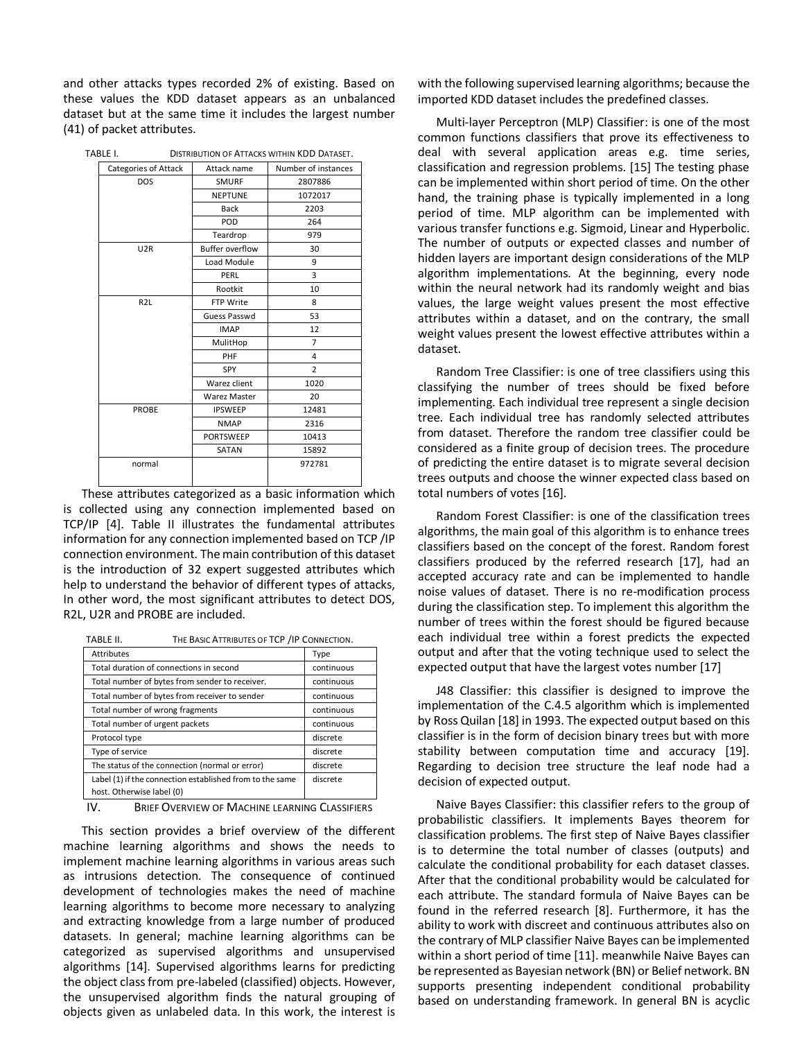and other attacks types recorded 2% of existing. Based on these values the KDD dataset appears as an unbalanced dataset but at the same time it includes the largest number (41) of packet attributes.

|  | TABLE I.<br><b>DISTRIBUTION OF ATTACKS WITHIN KDD DATASET.</b> |                        |                     |  |
|--|----------------------------------------------------------------|------------------------|---------------------|--|
|  | Categories of Attack                                           | Attack name            | Number of instances |  |
|  | <b>DOS</b>                                                     | <b>SMURF</b>           | 2807886             |  |
|  |                                                                | <b>NEPTUNE</b>         | 1072017             |  |
|  |                                                                | <b>Back</b>            | 2203                |  |
|  |                                                                | POD                    | 264                 |  |
|  |                                                                | Teardrop               | 979                 |  |
|  | U <sub>2</sub> R                                               | <b>Buffer overflow</b> | 30                  |  |
|  |                                                                | Load Module            | 9                   |  |
|  |                                                                | PERL                   | 3                   |  |
|  |                                                                | Rootkit                | 10                  |  |
|  | R <sub>2L</sub>                                                | FTP Write              | 8                   |  |
|  |                                                                | Guess Passwd           | 53                  |  |
|  |                                                                | <b>IMAP</b>            | 12                  |  |
|  |                                                                | MulitHop               | $\overline{7}$      |  |
|  |                                                                | PHF                    | 4                   |  |
|  |                                                                | SPY                    | $\overline{2}$      |  |
|  |                                                                | Warez client           | 1020                |  |
|  |                                                                | Warez Master           | 20                  |  |
|  | <b>PROBE</b>                                                   | <b>IPSWEEP</b>         | 12481               |  |
|  |                                                                | <b>NMAP</b>            | 2316                |  |
|  |                                                                | <b>PORTSWEEP</b>       | 10413               |  |
|  |                                                                | SATAN                  | 15892               |  |
|  | normal                                                         |                        | 972781              |  |
|  |                                                                |                        |                     |  |

These attributes categorized as a basic information which is collected using any connection implemented based on TCP/IP [4]. Table II illustrates the fundamental attributes information for any connection implemented based on TCP /IP connection environment. The main contribution of this dataset is the introduction of 32 expert suggested attributes which help to understand the behavior of different types of attacks, In other word, the most significant attributes to detect DOS, R2L, U2R and PROBE are included.

| TABLE II.                                                | THE BASIC ATTRIBUTES OF TCP / IP CONNECTION.   |            |
|----------------------------------------------------------|------------------------------------------------|------------|
| <b>Attributes</b>                                        |                                                | Type       |
| Total duration of connections in second                  |                                                | continuous |
|                                                          | Total number of bytes from sender to receiver. | continuous |
|                                                          | Total number of bytes from receiver to sender  | continuous |
| Total number of wrong fragments                          |                                                | continuous |
| Total number of urgent packets                           |                                                | continuous |
| Protocol type                                            |                                                | discrete   |
| Type of service                                          |                                                | discrete   |
|                                                          | The status of the connection (normal or error) | discrete   |
| Label (1) if the connection established from to the same |                                                | discrete   |
| host. Otherwise label (0)                                |                                                |            |

IV. BRIEF OVERVIEW OF MACHINE LEARNING CLASSIFIERS

This section provides a brief overview of the different machine learning algorithms and shows the needs to implement machine learning algorithms in various areas such as intrusions detection. The consequence of continued development of technologies makes the need of machine learning algorithms to become more necessary to analyzing and extracting knowledge from a large number of produced datasets. In general; machine learning algorithms can be categorized as supervised algorithms and unsupervised algorithms [14]. Supervised algorithms learns for predicting the object class from pre-labeled (classified) objects. However, the unsupervised algorithm finds the natural grouping of objects given as unlabeled data. In this work, the interest is with the following supervised learning algorithms; because the imported KDD dataset includes the predefined classes.

Multi-layer Perceptron (MLP) Classifier: is one of the most common functions classifiers that prove its effectiveness to deal with several application areas e.g. time series, classification and regression problems. [15] The testing phase can be implemented within short period of time. On the other hand, the training phase is typically implemented in a long period of time. MLP algorithm can be implemented with various transfer functions e.g. Sigmoid, Linear and Hyperbolic. The number of outputs or expected classes and number of hidden layers are important design considerations of the MLP algorithm implementations. At the beginning, every node within the neural network had its randomly weight and bias values, the large weight values present the most effective attributes within a dataset, and on the contrary, the small weight values present the lowest effective attributes within a dataset.

Random Tree Classifier: is one of tree classifiers using this classifying the number of trees should be fixed before implementing. Each individual tree represent a single decision tree. Each individual tree has randomly selected attributes from dataset. Therefore the random tree classifier could be considered as a finite group of decision trees. The procedure of predicting the entire dataset is to migrate several decision trees outputs and choose the winner expected class based on total numbers of votes [16].

Random Forest Classifier: is one of the classification trees algorithms, the main goal of this algorithm is to enhance trees classifiers based on the concept of the forest. Random forest classifiers produced by the referred research [17], had an accepted accuracy rate and can be implemented to handle noise values of dataset. There is no re-modification process during the classification step. To implement this algorithm the number of trees within the forest should be figured because each individual tree within a forest predicts the expected output and after that the voting technique used to select the expected output that have the largest votes number [17]

J48 Classifier: this classifier is designed to improve the implementation of the C.4.5 algorithm which is implemented by Ross Quilan [18] in 1993. The expected output based on this classifier is in the form of decision binary trees but with more stability between computation time and accuracy [19]. Regarding to decision tree structure the leaf node had a decision of expected output.

Naive Bayes Classifier: this classifier refers to the group of probabilistic classifiers. It implements Bayes theorem for classification problems. The first step of Naive Bayes classifier is to determine the total number of classes (outputs) and calculate the conditional probability for each dataset classes. After that the conditional probability would be calculated for each attribute. The standard formula of Naive Bayes can be found in the referred research [8]. Furthermore, it has the ability to work with discreet and continuous attributes also on the contrary of MLP classifier Naive Bayes can be implemented within a short period of time [11]. meanwhile Naive Bayes can be represented as Bayesian network (BN) or Belief network. BN supports presenting independent conditional probability based on understanding framework. In general BN is acyclic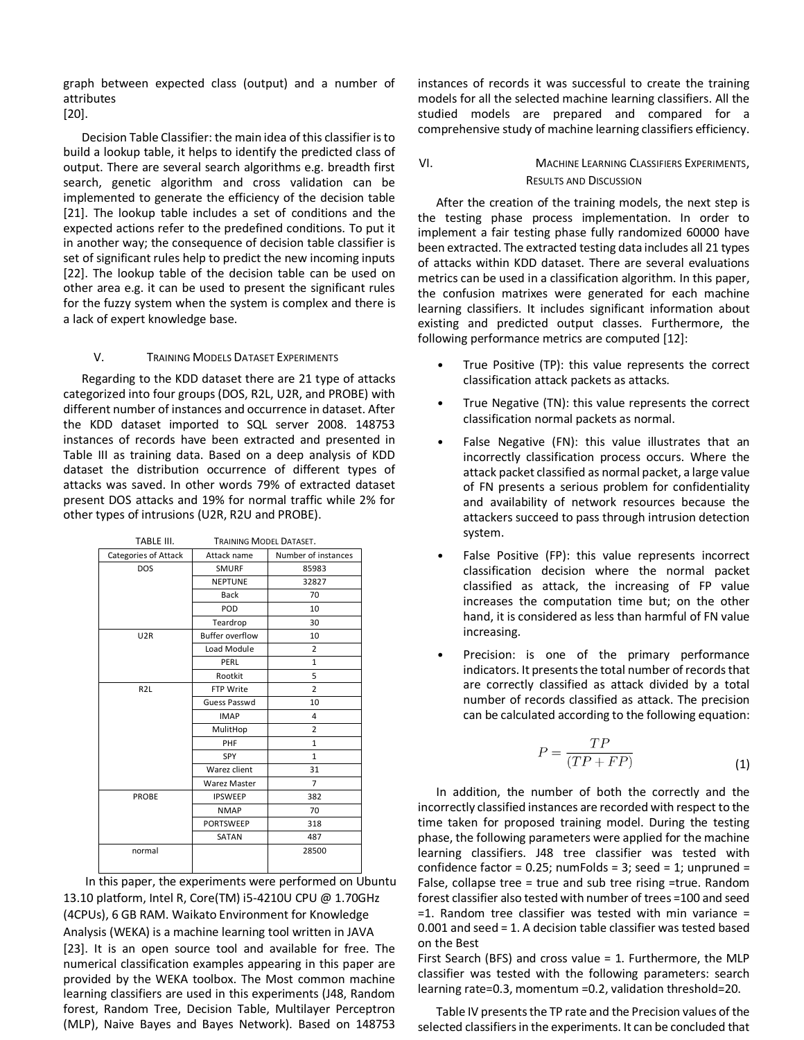graph between expected class (output) and a number of attributes

[20].

Decision Table Classifier: the main idea of this classifier is to build a lookup table, it helps to identify the predicted class of output. There are several search algorithms e.g. breadth first search, genetic algorithm and cross validation can be implemented to generate the efficiency of the decision table [21]. The lookup table includes a set of conditions and the expected actions refer to the predefined conditions. To put it in another way; the consequence of decision table classifier is set of significant rules help to predict the new incoming inputs [22]. The lookup table of the decision table can be used on other area e.g. it can be used to present the significant rules for the fuzzy system when the system is complex and there is a lack of expert knowledge base.

# V. TRAINING MODELS DATASET EXPERIMENTS

Regarding to the KDD dataset there are 21 type of attacks categorized into four groups (DOS, R2L, U2R, and PROBE) with different number of instances and occurrence in dataset. After the KDD dataset imported to SQL server 2008. 148753 instances of records have been extracted and presented in Table III as training data. Based on a deep analysis of KDD dataset the distribution occurrence of different types of attacks was saved. In other words 79% of extracted dataset present DOS attacks and 19% for normal traffic while 2% for other types of intrusions (U2R, R2U and PROBE).

| TABLE III.           | <b>TRAINING MODEL DATASET.</b> |                     |  |
|----------------------|--------------------------------|---------------------|--|
| Categories of Attack | Attack name                    | Number of instances |  |
| <b>DOS</b>           | <b>SMURF</b>                   | 85983               |  |
|                      | <b>NEPTUNE</b>                 | 32827               |  |
|                      | <b>Back</b>                    | 70                  |  |
|                      | POD                            | 10                  |  |
|                      | Teardrop                       | 30                  |  |
| U <sub>2R</sub>      | <b>Buffer overflow</b>         | 10                  |  |
|                      | Load Module                    | $\overline{2}$      |  |
|                      | PERL                           | $\mathbf{1}$        |  |
|                      | Rootkit                        | 5                   |  |
| R <sub>2</sub> L     | FTP Write                      | $\overline{2}$      |  |
|                      | Guess Passwd                   | 10                  |  |
|                      | <b>IMAP</b>                    | 4                   |  |
|                      | MulitHop                       | 2                   |  |
|                      | PHF                            | $\mathbf{1}$        |  |
|                      | <b>SPY</b>                     | $\mathbf{1}$        |  |
|                      | Warez client                   | 31                  |  |
|                      | Warez Master                   | $\overline{7}$      |  |
| <b>PROBE</b>         | <b>IPSWEEP</b>                 | 382                 |  |
|                      | <b>NMAP</b>                    | 70                  |  |
|                      | <b>PORTSWEEP</b>               | 318                 |  |
|                      | SATAN                          | 487                 |  |
| normal               |                                | 28500               |  |

In this paper, the experiments were performed on Ubuntu 13.10 platform, Intel R, Core(TM) i5-4210U CPU @ 1.70GHz (4CPUs), 6 GB RAM. Waikato Environment for Knowledge Analysis (WEKA) is a machine learning tool written in JAVA [23]. It is an open source tool and available for free. The numerical classification examples appearing in this paper are provided by the WEKA toolbox. The Most common machine learning classifiers are used in this experiments (J48, Random forest, Random Tree, Decision Table, Multilayer Perceptron (MLP), Naive Bayes and Bayes Network). Based on 148753

instances of records it was successful to create the training models for all the selected machine learning classifiers. All the studied models are prepared and compared for a comprehensive study of machine learning classifiers efficiency.

# VI. MACHINE LEARNING CLASSIFIERS EXPERIMENTS, RESULTS AND DISCUSSION

After the creation of the training models, the next step is the testing phase process implementation. In order to implement a fair testing phase fully randomized 60000 have been extracted. The extracted testing data includes all 21 types of attacks within KDD dataset. There are several evaluations metrics can be used in a classification algorithm. In this paper, the confusion matrixes were generated for each machine learning classifiers. It includes significant information about existing and predicted output classes. Furthermore, the following performance metrics are computed [12]:

- True Positive (TP): this value represents the correct classification attack packets as attacks.
- True Negative (TN): this value represents the correct classification normal packets as normal.
- False Negative (FN): this value illustrates that an incorrectly classification process occurs. Where the attack packet classified as normal packet, a large value of FN presents a serious problem for confidentiality and availability of network resources because the attackers succeed to pass through intrusion detection system.
- False Positive (FP): this value represents incorrect classification decision where the normal packet classified as attack, the increasing of FP value increases the computation time but; on the other hand, it is considered as less than harmful of FN value increasing.
- Precision: is one of the primary performance indicators. It presents the total number of records that are correctly classified as attack divided by a total number of records classified as attack. The precision can be calculated according to the following equation:

$$
P = \frac{TP}{(TP + FP)}
$$
 (1)

In addition, the number of both the correctly and the incorrectly classified instances are recorded with respect to the time taken for proposed training model. During the testing phase, the following parameters were applied for the machine learning classifiers. J48 tree classifier was tested with confidence factor =  $0.25$ ; numFolds = 3; seed = 1; unpruned = False, collapse tree = true and sub tree rising =true. Random forest classifier also tested with number of trees =100 and seed  $=1.$  Random tree classifier was tested with min variance  $=$ 0.001 and seed = 1. A decision table classifier was tested based on the Best

First Search (BFS) and cross value = 1. Furthermore, the MLP classifier was tested with the following parameters: search learning rate=0.3, momentum =0.2, validation threshold=20.

Table IV presents the TP rate and the Precision values of the selected classifiers in the experiments. It can be concluded that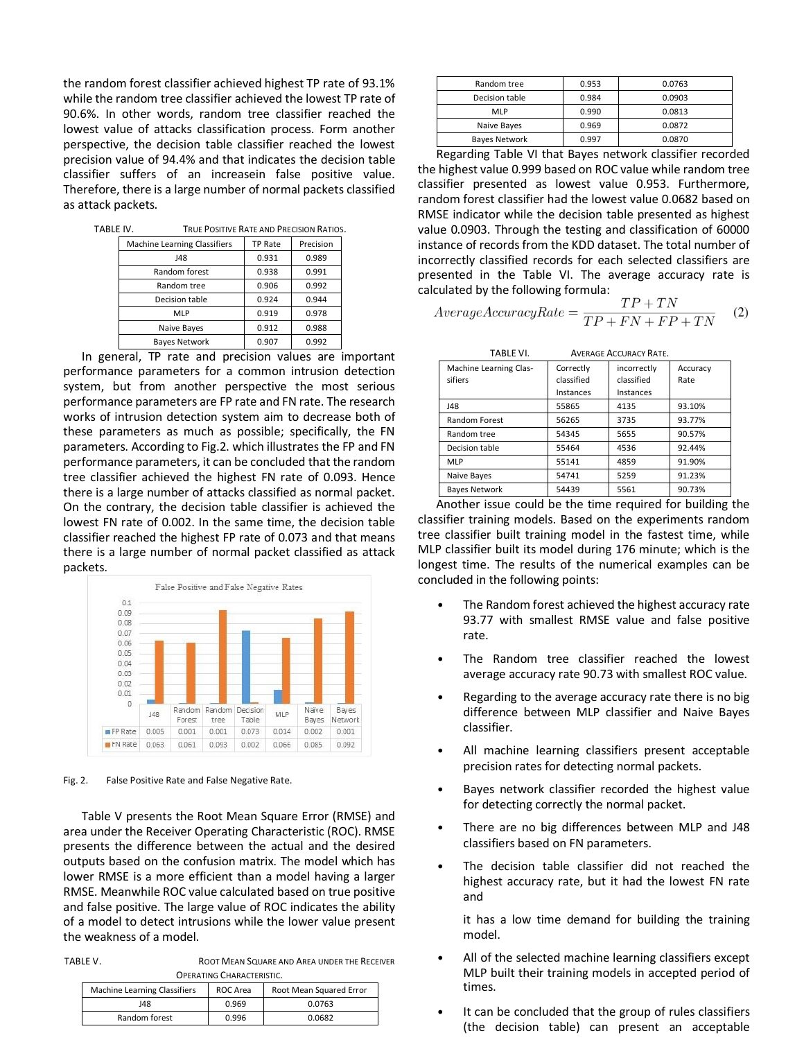the random forest classifier achieved highest TP rate of 93.1% while the random tree classifier achieved the lowest TP rate of 90.6%. In other words, random tree classifier reached the lowest value of attacks classification process. Form another perspective, the decision table classifier reached the lowest precision value of 94.4% and that indicates the decision table classifier suffers of an increasein false positive value. Therefore, there is a large number of normal packets classified as attack packets.

| TABLE IV. |                              | TRUE POSITIVE RATE AND PRECISION RATIOS. |           |  |
|-----------|------------------------------|------------------------------------------|-----------|--|
|           | Machine Learning Classifiers | TP Rate                                  | Precision |  |
|           | 148                          | 0.931                                    | 0.989     |  |
|           | Random forest                | 0.938                                    | 0.991     |  |
|           | Random tree                  | 0.906                                    | 0.992     |  |
|           | Decision table               | 0.924                                    | 0.944     |  |
|           | MLP                          | 0.919                                    | 0.978     |  |
|           | Naive Bayes                  | 0.912                                    | 0.988     |  |
|           | Bayes Network                | 0.907                                    | 0.992     |  |
|           |                              |                                          |           |  |

In general, TP rate and precision values are important performance parameters for a common intrusion detection system, but from another perspective the most serious performance parameters are FP rate and FN rate. The research works of intrusion detection system aim to decrease both of these parameters as much as possible; specifically, the FN parameters. According to Fig.2. which illustrates the FP and FN performance parameters, it can be concluded that the random tree classifier achieved the highest FN rate of 0.093. Hence there is a large number of attacks classified as normal packet. On the contrary, the decision table classifier is achieved the lowest FN rate of 0.002. In the same time, the decision table classifier reached the highest FP rate of 0.073 and that means there is a large number of normal packet classified as attack packets.



Fig. 2. False Positive Rate and False Negative Rate.

Table V presents the Root Mean Square Error (RMSE) and area under the Receiver Operating Characteristic (ROC). RMSE presents the difference between the actual and the desired outputs based on the confusion matrix. The model which has lower RMSE is a more efficient than a model having a larger RMSE. Meanwhile ROC value calculated based on true positive and false positive. The large value of ROC indicates the ability of a model to detect intrusions while the lower value present the weakness of a model.

TABLE V. ROOT MEAN SQUARE AND AREA UNDER THE RECEIVER

| <b>OPERATING CHARACTERISTIC.</b> |          |                         |  |  |
|----------------------------------|----------|-------------------------|--|--|
| Machine Learning Classifiers     | ROC Area | Root Mean Squared Error |  |  |
| 148                              | 0.969    | 0.0763                  |  |  |
| Random forest                    | 0.996    | 0.0682                  |  |  |

| Random tree          | 0.953 | 0.0763 |
|----------------------|-------|--------|
| Decision table       | 0.984 | 0.0903 |
| <b>MLP</b>           | 0.990 | 0.0813 |
| Naive Bayes          | 0.969 | 0.0872 |
| <b>Bayes Network</b> | 0.997 | 0.0870 |

Regarding Table VI that Bayes network classifier recorded the highest value 0.999 based on ROC value while random tree classifier presented as lowest value 0.953. Furthermore, random forest classifier had the lowest value 0.0682 based on RMSE indicator while the decision table presented as highest value 0.0903. Through the testing and classification of 60000 instance of records from the KDD dataset. The total number of incorrectly classified records for each selected classifiers are presented in the Table VI. The average accuracy rate is calculated by the following formula:

$$
AverageAccuracyRate = \frac{TP + TN}{TP + FN + FP + TN}
$$
 (2)

| TABLE VI.              | <b>AVERAGE ACCURACY RATE.</b> |             |          |
|------------------------|-------------------------------|-------------|----------|
| Machine Learning Clas- | Correctly                     | incorrectly | Accuracy |
| sifiers                | classified                    | classified  | Rate     |
|                        | Instances                     | Instances   |          |
| 148                    | 55865                         | 4135        | 93.10%   |
| <b>Random Forest</b>   | 56265                         | 3735        | 93.77%   |
| Random tree            | 54345                         | 5655        | 90.57%   |
| Decision table         | 55464                         | 4536        | 92.44%   |
| <b>MLP</b>             | 55141                         | 4859        | 91.90%   |
| Naive Bayes            | 54741                         | 5259        | 91.23%   |
| <b>Bayes Network</b>   | 54439                         | 5561        | 90.73%   |

Another issue could be the time required for building the classifier training models. Based on the experiments random tree classifier built training model in the fastest time, while MLP classifier built its model during 176 minute; which is the longest time. The results of the numerical examples can be concluded in the following points:

- The Random forest achieved the highest accuracy rate 93.77 with smallest RMSE value and false positive rate.
- The Random tree classifier reached the lowest average accuracy rate 90.73 with smallest ROC value.
- Regarding to the average accuracy rate there is no big difference between MLP classifier and Naive Bayes classifier.
- All machine learning classifiers present acceptable precision rates for detecting normal packets.
- Bayes network classifier recorded the highest value for detecting correctly the normal packet.
- There are no big differences between MLP and J48 classifiers based on FN parameters.
- The decision table classifier did not reached the highest accuracy rate, but it had the lowest FN rate and

it has a low time demand for building the training model.

- All of the selected machine learning classifiers except MLP built their training models in accepted period of times.
- It can be concluded that the group of rules classifiers (the decision table) can present an acceptable